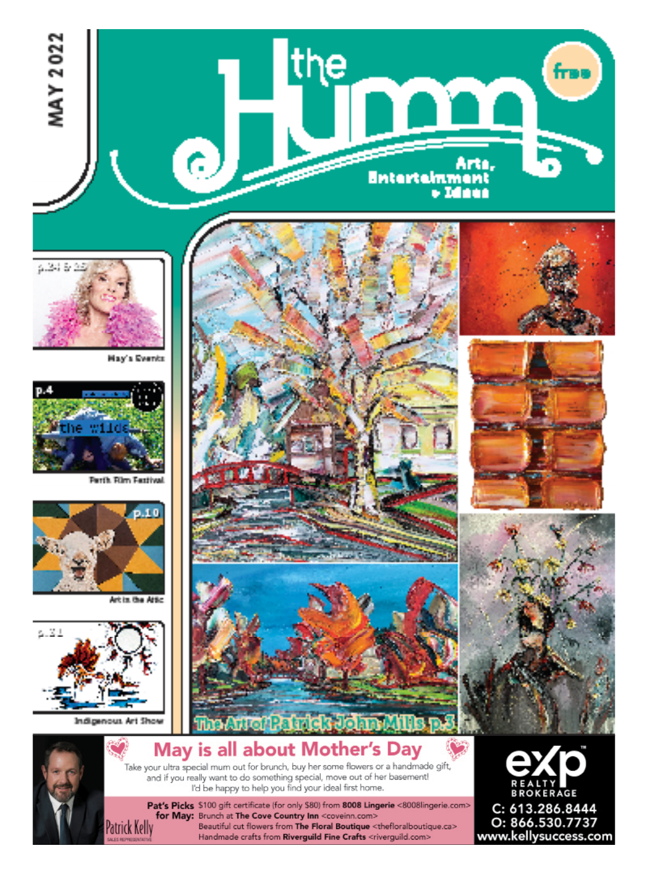